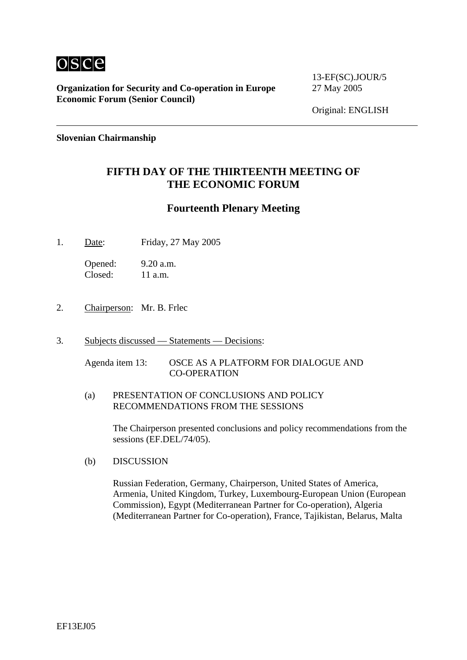

**Organization for Security and Co-operation in Europe** 27 May 2005 **Economic Forum (Senior Council)**

13-EF(SC).JOUR/5

Original: ENGLISH

**Slovenian Chairmanship** 

## **FIFTH DAY OF THE THIRTEENTH MEETING OF THE ECONOMIC FORUM**

#### **Fourteenth Plenary Meeting**

1. Date: Friday, 27 May 2005

Opened: 9.20 a.m. Closed: 11 a.m.

- 2. Chairperson: Mr. B. Frlec
- 3. Subjects discussed Statements Decisions:

Agenda item 13: OSCE AS A PLATFORM FOR DIALOGUE AND CO-OPERATION

(a) PRESENTATION OF CONCLUSIONS AND POLICY RECOMMENDATIONS FROM THE SESSIONS

> The Chairperson presented conclusions and policy recommendations from the sessions (EF.DEL/74/05).

(b) DISCUSSION

Russian Federation, Germany, Chairperson, United States of America, Armenia, United Kingdom, Turkey, Luxembourg-European Union (European Commission), Egypt (Mediterranean Partner for Co-operation), Algeria (Mediterranean Partner for Co-operation), France, Tajikistan, Belarus, Malta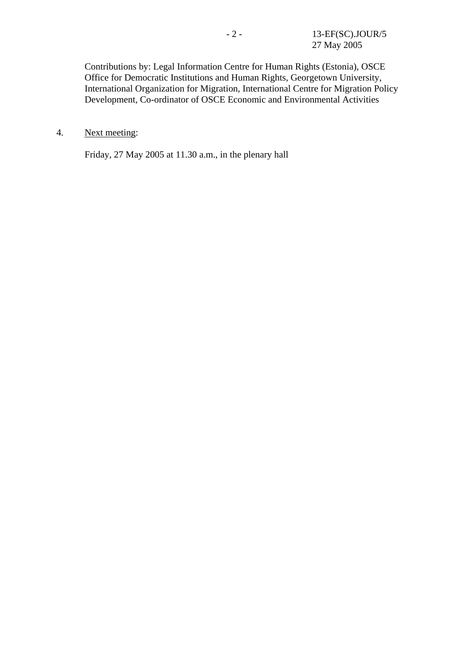Contributions by: Legal Information Centre for Human Rights (Estonia), OSCE Office for Democratic Institutions and Human Rights, Georgetown University, International Organization for Migration, International Centre for Migration Policy Development, Co-ordinator of OSCE Economic and Environmental Activities

4. Next meeting:

Friday, 27 May 2005 at 11.30 a.m., in the plenary hall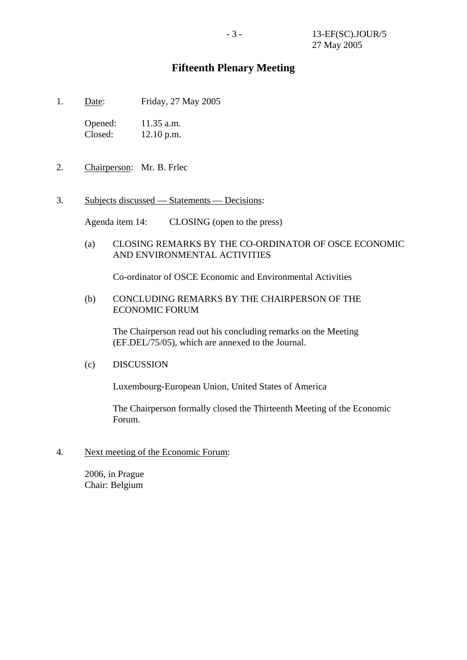## **Fifteenth Plenary Meeting**

1. Date: Friday, 27 May 2005

Opened: 11.35 a.m. Closed: 12.10 p.m.

- 2. Chairperson: Mr. B. Frlec
- 3. Subjects discussed Statements Decisions:

Agenda item 14: CLOSING (open to the press)

(a) CLOSING REMARKS BY THE CO-ORDINATOR OF OSCE ECONOMIC AND ENVIRONMENTAL ACTIVITIES

Co-ordinator of OSCE Economic and Environmental Activities

(b) CONCLUDING REMARKS BY THE CHAIRPERSON OF THE ECONOMIC FORUM

 The Chairperson read out his concluding remarks on the Meeting (EF.DEL/75/05), which are annexed to the Journal.

(c) DISCUSSION

Luxembourg-European Union, United States of America

The Chairperson formally closed the Thirteenth Meeting of the Economic Forum.

4. Next meeting of the Economic Forum:

2006, in Prague Chair: Belgium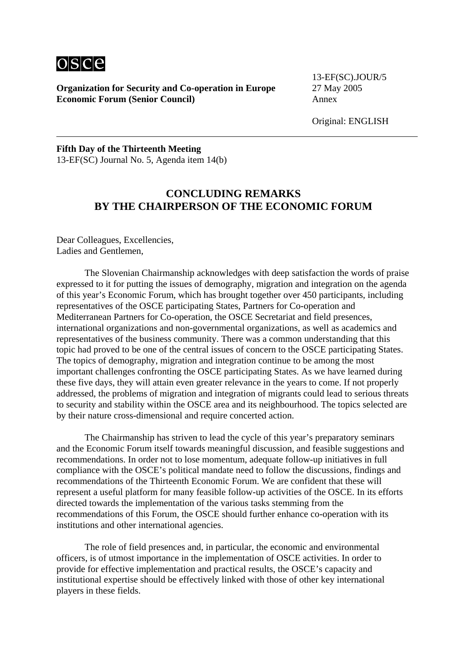

**Organization for Security and Co-operation in Europe** 27 May 2005 **Economic Forum (Senior Council)** Annex

13-EF(SC).JOUR/5

Original: ENGLISH

#### **Fifth Day of the Thirteenth Meeting**  13-EF(SC) Journal No. 5, Agenda item 14(b)

# **CONCLUDING REMARKS BY THE CHAIRPERSON OF THE ECONOMIC FORUM**

Dear Colleagues, Excellencies, Ladies and Gentlemen,

 The Slovenian Chairmanship acknowledges with deep satisfaction the words of praise expressed to it for putting the issues of demography, migration and integration on the agenda of this year's Economic Forum, which has brought together over 450 participants, including representatives of the OSCE participating States, Partners for Co-operation and Mediterranean Partners for Co-operation, the OSCE Secretariat and field presences, international organizations and non-governmental organizations, as well as academics and representatives of the business community. There was a common understanding that this topic had proved to be one of the central issues of concern to the OSCE participating States. The topics of demography, migration and integration continue to be among the most important challenges confronting the OSCE participating States. As we have learned during these five days, they will attain even greater relevance in the years to come. If not properly addressed, the problems of migration and integration of migrants could lead to serious threats to security and stability within the OSCE area and its neighbourhood. The topics selected are by their nature cross-dimensional and require concerted action.

 The Chairmanship has striven to lead the cycle of this year's preparatory seminars and the Economic Forum itself towards meaningful discussion, and feasible suggestions and recommendations. In order not to lose momentum, adequate follow-up initiatives in full compliance with the OSCE's political mandate need to follow the discussions, findings and recommendations of the Thirteenth Economic Forum. We are confident that these will represent a useful platform for many feasible follow-up activities of the OSCE. In its efforts directed towards the implementation of the various tasks stemming from the recommendations of this Forum, the OSCE should further enhance co-operation with its institutions and other international agencies.

 The role of field presences and, in particular, the economic and environmental officers, is of utmost importance in the implementation of OSCE activities. In order to provide for effective implementation and practical results, the OSCE's capacity and institutional expertise should be effectively linked with those of other key international players in these fields.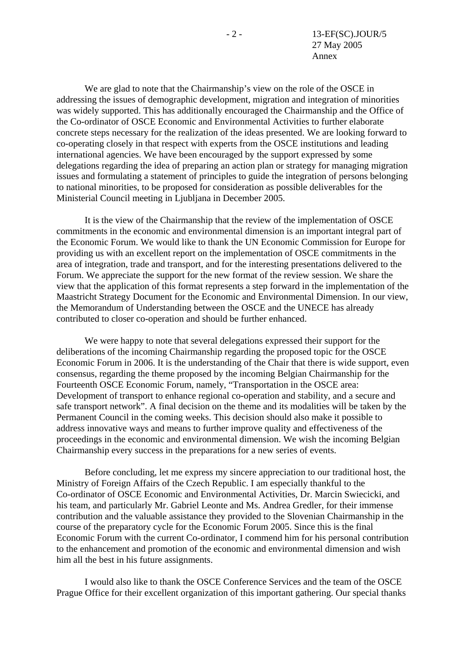We are glad to note that the Chairmanship's view on the role of the OSCE in addressing the issues of demographic development, migration and integration of minorities was widely supported. This has additionally encouraged the Chairmanship and the Office of the Co-ordinator of OSCE Economic and Environmental Activities to further elaborate concrete steps necessary for the realization of the ideas presented. We are looking forward to co-operating closely in that respect with experts from the OSCE institutions and leading international agencies. We have been encouraged by the support expressed by some delegations regarding the idea of preparing an action plan or strategy for managing migration issues and formulating a statement of principles to guide the integration of persons belonging to national minorities, to be proposed for consideration as possible deliverables for the Ministerial Council meeting in Ljubljana in December 2005.

 It is the view of the Chairmanship that the review of the implementation of OSCE commitments in the economic and environmental dimension is an important integral part of the Economic Forum. We would like to thank the UN Economic Commission for Europe for providing us with an excellent report on the implementation of OSCE commitments in the area of integration, trade and transport, and for the interesting presentations delivered to the Forum. We appreciate the support for the new format of the review session. We share the view that the application of this format represents a step forward in the implementation of the Maastricht Strategy Document for the Economic and Environmental Dimension. In our view, the Memorandum of Understanding between the OSCE and the UNECE has already contributed to closer co-operation and should be further enhanced.

 We were happy to note that several delegations expressed their support for the deliberations of the incoming Chairmanship regarding the proposed topic for the OSCE Economic Forum in 2006. It is the understanding of the Chair that there is wide support, even consensus, regarding the theme proposed by the incoming Belgian Chairmanship for the Fourteenth OSCE Economic Forum, namely, "Transportation in the OSCE area: Development of transport to enhance regional co-operation and stability, and a secure and safe transport network". A final decision on the theme and its modalities will be taken by the Permanent Council in the coming weeks. This decision should also make it possible to address innovative ways and means to further improve quality and effectiveness of the proceedings in the economic and environmental dimension. We wish the incoming Belgian Chairmanship every success in the preparations for a new series of events.

 Before concluding, let me express my sincere appreciation to our traditional host, the Ministry of Foreign Affairs of the Czech Republic. I am especially thankful to the Co-ordinator of OSCE Economic and Environmental Activities, Dr. Marcin Swiecicki, and his team, and particularly Mr. Gabriel Leonte and Ms. Andrea Gredler, for their immense contribution and the valuable assistance they provided to the Slovenian Chairmanship in the course of the preparatory cycle for the Economic Forum 2005. Since this is the final Economic Forum with the current Co-ordinator, I commend him for his personal contribution to the enhancement and promotion of the economic and environmental dimension and wish him all the best in his future assignments.

 I would also like to thank the OSCE Conference Services and the team of the OSCE Prague Office for their excellent organization of this important gathering. Our special thanks